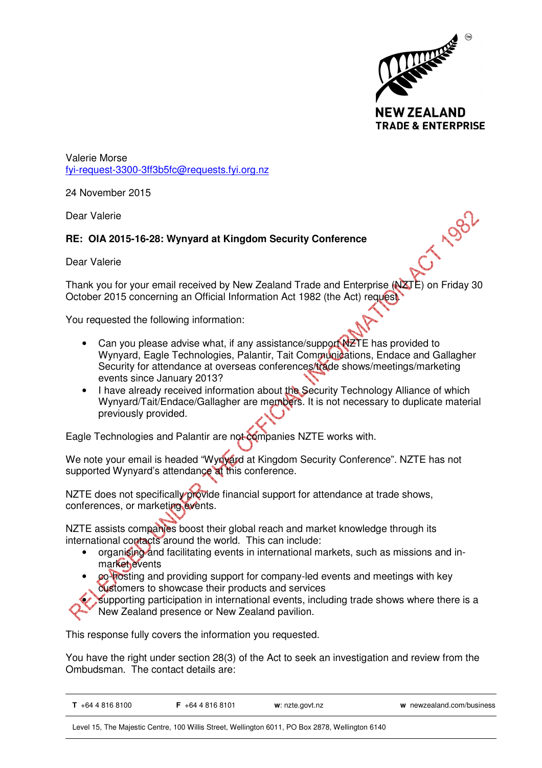

CT 1982

Valerie Morse fyi-request-3300-3ff3b5fc@requests.fyi.org.nz

24 November 2015

Dear Valerie

## **RE: OIA 2015-16-28: Wynyard at Kingdom Security Conference**

Dear Valerie

Thank you for your email received by New Zealand Trade and Enterprise (NZTE) on Friday 30 October 2015 concerning an Official Information Act 1982 (the Act) request.

You requested the following information:

- Can you please advise what, if any assistance/support NZTE has provided to Wynyard, Eagle Technologies, Palantir, Tait Communications, Endace and Gallagher Security for attendance at overseas conferences/trade shows/meetings/marketing events since January 2013?
- I have already received information about the Security Technology Alliance of which Wynyard/Tait/Endace/Gallagher are members. It is not necessary to duplicate material previously provided.

Eagle Technologies and Palantir are not companies NZTE works with.

We note your email is headed "Wynyard at Kingdom Security Conference". NZTE has not supported Wynyard's attendance at this conference.

NZTE does not specifically provide financial support for attendance at trade shows, conferences, or marketing events.

NZTE assists companies boost their global reach and market knowledge through its international contacts around the world. This can include:

- organising and facilitating events in international markets, such as missions and inmarket events
- co-hosting and providing support for company-led events and meetings with key customers to showcase their products and services

supporting participation in international events, including trade shows where there is a New Zealand presence or New Zealand pavilion.

This response fully covers the information you requested.

You have the right under section 28(3) of the Act to seek an investigation and review from the Ombudsman. The contact details are:

| $T$ +64 4 816 8100 | $\frac{5}{1}$ +64 4 816 8101 | w: nzte.govt.nz | w newzealand.com/business |
|--------------------|------------------------------|-----------------|---------------------------|
|                    |                              |                 |                           |

Level 15, The Majestic Centre, 100 Willis Street, Wellington 6011, PO Box 2878, Wellington 6140